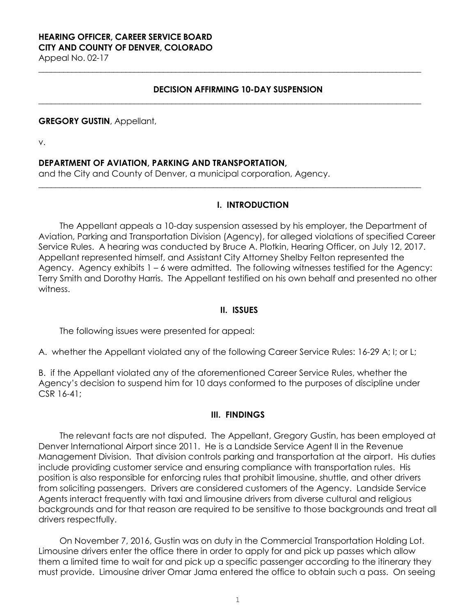# **HEARING OFFICER, CAREER SERVICE BOARD CITY AND COUNTY OF DENVER, COLORADO**

Appeal No. 02-17

### **DECISION AFFIRMING 10-DAY SUSPENSION**

**\_\_\_\_\_\_\_\_\_\_\_\_\_\_\_\_\_\_\_\_\_\_\_\_\_\_\_\_\_\_\_\_\_\_\_\_\_\_\_\_\_\_\_\_\_\_\_\_\_\_\_\_\_\_\_\_\_\_\_\_\_\_\_\_\_\_\_\_\_\_\_\_\_\_\_\_\_\_\_\_\_\_\_\_\_\_\_\_\_\_\_\_**

**\_\_\_\_\_\_\_\_\_\_\_\_\_\_\_\_\_\_\_\_\_\_\_\_\_\_\_\_\_\_\_\_\_\_\_\_\_\_\_\_\_\_\_\_\_\_\_\_\_\_\_\_\_\_\_\_\_\_\_\_\_\_\_\_\_\_\_\_\_\_\_\_\_\_\_\_\_\_\_\_\_\_\_\_\_\_\_\_\_\_\_\_**

**\_\_\_\_\_\_\_\_\_\_\_\_\_\_\_\_\_\_\_\_\_\_\_\_\_\_\_\_\_\_\_\_\_\_\_\_\_\_\_\_\_\_\_\_\_\_\_\_\_\_\_\_\_\_\_\_\_\_\_\_\_\_\_\_\_\_\_\_\_\_\_\_\_\_\_\_\_\_\_\_\_\_\_\_\_\_\_\_\_\_\_\_**

#### **GREGORY GUSTIN**, Appellant,

v.

### **DEPARTMENT OF AVIATION, PARKING AND TRANSPORTATION,**

and the City and County of Denver, a municipal corporation, Agency.

### **I. INTRODUCTION**

The Appellant appeals a 10-day suspension assessed by his employer, the Department of Aviation, Parking and Transportation Division (Agency), for alleged violations of specified Career Service Rules. A hearing was conducted by Bruce A. Plotkin, Hearing Officer, on July 12, 2017. Appellant represented himself, and Assistant City Attorney Shelby Felton represented the Agency. Agency exhibits 1 – 6 were admitted. The following witnesses testified for the Agency: Terry Smith and Dorothy Harris. The Appellant testified on his own behalf and presented no other witness.

#### **II. ISSUES**

The following issues were presented for appeal:

A. whether the Appellant violated any of the following Career Service Rules: 16-29 A; I; or L;

B. if the Appellant violated any of the aforementioned Career Service Rules, whether the Agency's decision to suspend him for 10 days conformed to the purposes of discipline under CSR 16-41;

### **III. FINDINGS**

The relevant facts are not disputed. The Appellant, Gregory Gustin, has been employed at Denver International Airport since 2011. He is a Landside Service Agent II in the Revenue Management Division. That division controls parking and transportation at the airport. His duties include providing customer service and ensuring compliance with transportation rules. His position is also responsible for enforcing rules that prohibit limousine, shuttle, and other drivers from soliciting passengers. Drivers are considered customers of the Agency. Landside Service Agents interact frequently with taxi and limousine drivers from diverse cultural and religious backgrounds and for that reason are required to be sensitive to those backgrounds and treat all drivers respectfully.

On November 7, 2016, Gustin was on duty in the Commercial Transportation Holding Lot. Limousine drivers enter the office there in order to apply for and pick up passes which allow them a limited time to wait for and pick up a specific passenger according to the itinerary they must provide. Limousine driver Omar Jama entered the office to obtain such a pass. On seeing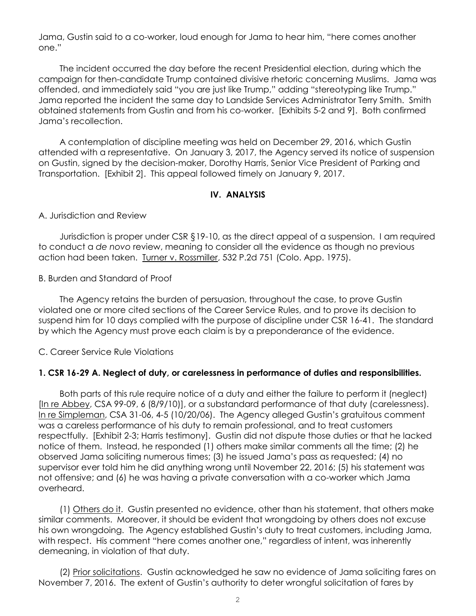Jama, Gustin said to a co-worker, loud enough for Jama to hear him, "here comes another one."

The incident occurred the day before the recent Presidential election, during which the campaign for then-candidate Trump contained divisive rhetoric concerning Muslims. Jama was offended, and immediately said "you are just like Trump," adding "stereotyping like Trump." Jama reported the incident the same day to Landside Services Administrator Terry Smith. Smith obtained statements from Gustin and from his co-worker. [Exhibits 5-2 and 9]. Both confirmed Jama's recollection.

A contemplation of discipline meeting was held on December 29, 2016, which Gustin attended with a representative. On January 3, 2017, the Agency served its notice of suspension on Gustin, signed by the decision-maker, Dorothy Harris, Senior Vice President of Parking and Transportation. [Exhibit 2]. This appeal followed timely on January 9, 2017.

### **IV. ANALYSIS**

A. Jurisdiction and Review

Jurisdiction is proper under CSR §19-10, as the direct appeal of a suspension. I am required to conduct a *de novo* review, meaning to consider all the evidence as though no previous action had been taken. Turner v. Rossmiller, 532 P.2d 751 (Colo. App. 1975).

B. Burden and Standard of Proof

The Agency retains the burden of persuasion, throughout the case, to prove Gustin violated one or more cited sections of the Career Service Rules, and to prove its decision to suspend him for 10 days complied with the purpose of discipline under CSR 16-41. The standard by which the Agency must prove each claim is by a preponderance of the evidence.

C. Career Service Rule Violations

### **1. CSR 16-29 A. Neglect of duty, or carelessness in performance of duties and responsibilities.**

Both parts of this rule require notice of a duty and either the failure to perform it (neglect) [In re Abbey, CSA 99-09, 6 (8/9/10)], or a substandard performance of that duty (carelessness). In re Simpleman, CSA 31-06, 4-5 (10/20/06). The Agency alleged Gustin's gratuitous comment was a careless performance of his duty to remain professional, and to treat customers respectfully. [Exhibit 2-3; Harris testimony]. Gustin did not dispute those duties or that he lacked notice of them. Instead, he responded (1) others make similar comments all the time; (2) he observed Jama soliciting numerous times; (3) he issued Jama's pass as requested; (4) no supervisor ever told him he did anything wrong until November 22, 2016; (5) his statement was not offensive; and (6) he was having a private conversation with a co-worker which Jama overheard.

(1) Others do it. Gustin presented no evidence, other than his statement, that others make similar comments. Moreover, it should be evident that wrongdoing by others does not excuse his own wrongdoing. The Agency established Gustin's duty to treat customers, including Jama, with respect. His comment "here comes another one," regardless of intent, was inherently demeaning, in violation of that duty.

(2) Prior solicitations. Gustin acknowledged he saw no evidence of Jama soliciting fares on November 7, 2016. The extent of Gustin's authority to deter wrongful solicitation of fares by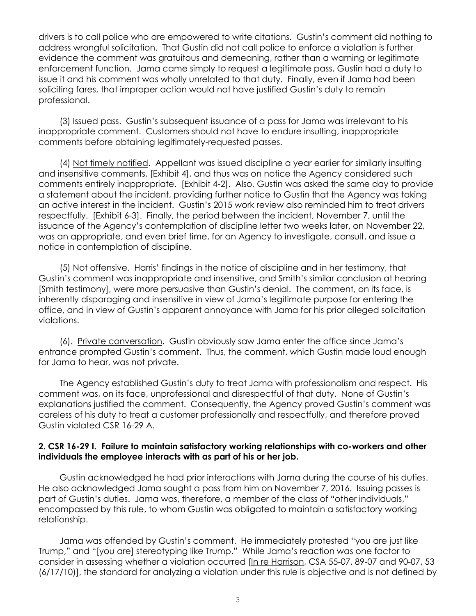drivers is to call police who are empowered to write citations. Gustin's comment did nothing to address wrongful solicitation. That Gustin did not call police to enforce a violation is further evidence the comment was gratuitous and demeaning, rather than a warning or legitimate enforcement function. Jama came simply to request a legitimate pass, Gustin had a duty to issue it and his comment was wholly unrelated to that duty. Finally, even if Jama had been soliciting fares, that improper action would not have justified Gustin's duty to remain professional.

(3) Issued pass. Gustin's subsequent issuance of a pass for Jama was irrelevant to his inappropriate comment. Customers should not have to endure insulting, inappropriate comments before obtaining legitimately-requested passes.

(4) Not timely notified. Appellant was issued discipline a year earlier for similarly insulting and insensitive comments, [Exhibit 4], and thus was on notice the Agency considered such comments entirely inappropriate. [Exhibit 4-2]. Also, Gustin was asked the same day to provide a statement about the incident, providing further notice to Gustin that the Agency was taking an active interest in the incident. Gustin's 2015 work review also reminded him to treat drivers respectfully. [Exhibit 6-3]. Finally, the period between the incident, November 7, until the issuance of the Agency's contemplation of discipline letter two weeks later, on November 22, was an appropriate, and even brief time, for an Agency to investigate, consult, and issue a notice in contemplation of discipline.

(5) Not offensive. Harris' findings in the notice of discipline and in her testimony, that Gustin's comment was inappropriate and insensitive, and Smith's similar conclusion at hearing [Smith testimony], were more persuasive than Gustin's denial. The comment, on its face, is inherently disparaging and insensitive in view of Jama's legitimate purpose for entering the office, and in view of Gustin's apparent annoyance with Jama for his prior alleged solicitation violations.

(6). Private conversation. Gustin obviously saw Jama enter the office since Jama's entrance prompted Gustin's comment. Thus, the comment, which Gustin made loud enough for Jama to hear, was not private.

The Agency established Gustin's duty to treat Jama with professionalism and respect. His comment was, on its face, unprofessional and disrespectful of that duty. None of Gustin's explanations justified the comment. Consequently, the Agency proved Gustin's comment was careless of his duty to treat a customer professionally and respectfully, and therefore proved Gustin violated CSR 16-29 A.

### **2. CSR 16-29 I. Failure to maintain satisfactory working relationships with co-workers and other individuals the employee interacts with as part of his or her job.**

Gustin acknowledged he had prior interactions with Jama during the course of his duties. He also acknowledged Jama sought a pass from him on November 7, 2016. Issuing passes is part of Gustin's duties. Jama was, therefore, a member of the class of "other individuals," encompassed by this rule, to whom Gustin was obligated to maintain a satisfactory working relationship.

Jama was offended by Gustin's comment. He immediately protested "you are just like Trump," and "[you are] stereotyping like Trump." While Jama's reaction was one factor to consider in assessing whether a violation occurred [In re Harrison, CSA 55-07, 89-07 and 90-07, 53 (6/17/10)], the standard for analyzing a violation under this rule is objective and is not defined by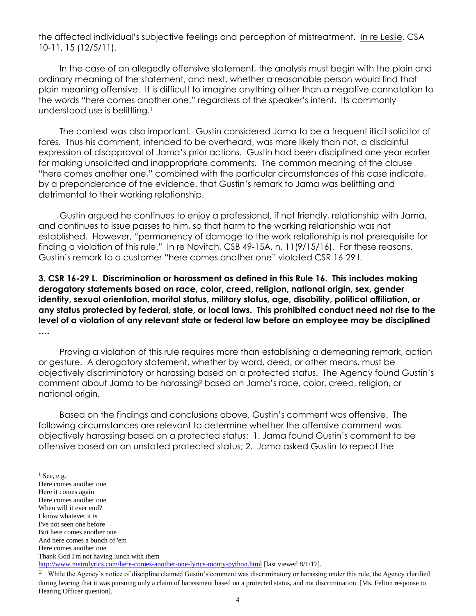the affected individual's subjective feelings and perception of mistreatment. In re Leslie, CSA 10-11, 15 (12/5/11).

In the case of an allegedly offensive statement, the analysis must begin with the plain and ordinary meaning of the statement, and next, whether a reasonable person would find that plain meaning offensive. It is difficult to imagine anything other than a negative connotation to the words "here comes another one," regardless of the speaker's intent. Its commonly understood use is belittling.<sup>1</sup>

The context was also important. Gustin considered Jama to be a frequent illicit solicitor of fares. Thus his comment, intended to be overheard, was more likely than not, a disdainful expression of disapproval of Jama's prior actions. Gustin had been disciplined one year earlier for making unsolicited and inappropriate comments. The common meaning of the clause "here comes another one," combined with the particular circumstances of this case indicate, by a preponderance of the evidence, that Gustin's remark to Jama was belittling and detrimental to their working relationship.

Gustin argued he continues to enjoy a professional, if not friendly, relationship with Jama, and continues to issue passes to him, so that harm to the working relationship was not established. However, "permanency of damage to the work relationship is not prerequisite for finding a violation of this rule." In re Novitch, CSB 49-15A, n. 11(9/15/16). For these reasons, Gustin's remark to a customer "here comes another one" violated CSR 16-29 I.

**3. CSR 16-29 L. Discrimination or harassment as defined in this Rule 16. This includes making derogatory statements based on race, color, creed, religion, national origin, sex, gender identity, sexual orientation, marital status, military status, age, disability, political affiliation, or any status protected by federal, state, or local laws. This prohibited conduct need not rise to the level of a violation of any relevant state or federal law before an employee may be disciplined ….**

Proving a violation of this rule requires more than establishing a demeaning remark, action or gesture. A derogatory statement, whether by word, deed, or other means, must be objectively discriminatory or harassing based on a protected status. The Agency found Gustin's comment about Jama to be harassing<sup>2</sup> based on Jama's race, color, creed, religion, or national origin.

Based on the findings and conclusions above, Gustin's comment was offensive. The following circumstances are relevant to determine whether the offensive comment was objectively harassing based on a protected status: 1. Jama found Gustin's comment to be offensive based on an unstated protected status; 2. Jama asked Gustin to repeat the

 $<sup>1</sup>$  See, e.g.</sup>

l,

Here comes another one

Here it comes again

Here comes another one

When will it ever end? I know whatever it is

I've not seen one before

But here comes another one

And here comes a bunch of 'em

Here comes another one

Thank God I'm not having lunch with them

<http://www.metrolyrics.com/here-comes-another-one-lyrics-monty-python.html> [last viewed 8/1/17].

<sup>2</sup> While the Agency's notice of discipline claimed Gustin's comment was discriminatory or harassing under this rule, the Agency clarified during hearing that it was pursuing only a claim of harassment based on a protected status, and not discrimination. [Ms. Felton response to Hearing Officer question].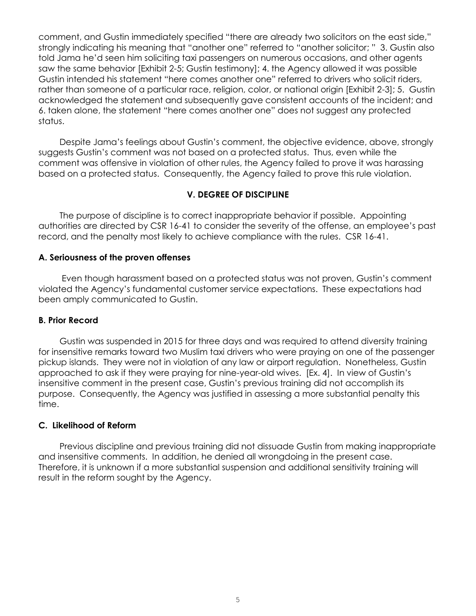comment, and Gustin immediately specified "there are already two solicitors on the east side," strongly indicating his meaning that "another one" referred to "another solicitor; " 3. Gustin also told Jama he'd seen him soliciting taxi passengers on numerous occasions, and other agents saw the same behavior [Exhibit 2-5; Gustin testimony]; 4. the Agency allowed it was possible Gustin intended his statement "here comes another one" referred to drivers who solicit riders, rather than someone of a particular race, religion, color, or national origin [Exhibit 2-3]; 5. Gustin acknowledged the statement and subsequently gave consistent accounts of the incident; and 6. taken alone, the statement "here comes another one" does not suggest any protected status.

Despite Jama's feelings about Gustin's comment, the objective evidence, above, strongly suggests Gustin's comment was not based on a protected status. Thus, even while the comment was offensive in violation of other rules, the Agency failed to prove it was harassing based on a protected status. Consequently, the Agency failed to prove this rule violation.

## **V. DEGREE OF DISCIPLINE**

The purpose of discipline is to correct inappropriate behavior if possible. Appointing authorities are directed by CSR 16-41 to consider the severity of the offense, an employee's past record, and the penalty most likely to achieve compliance with the rules. CSR 16-41.

### **A. Seriousness of the proven offenses**

Even though harassment based on a protected status was not proven, Gustin's comment violated the Agency's fundamental customer service expectations. These expectations had been amply communicated to Gustin.

### **B. Prior Record**

Gustin was suspended in 2015 for three days and was required to attend diversity training for insensitive remarks toward two Muslim taxi drivers who were praying on one of the passenger pickup islands. They were not in violation of any law or airport regulation. Nonetheless, Gustin approached to ask if they were praying for nine-year-old wives. [Ex. 4]. In view of Gustin's insensitive comment in the present case, Gustin's previous training did not accomplish its purpose. Consequently, the Agency was justified in assessing a more substantial penalty this time.

### **C. Likelihood of Reform**

Previous discipline and previous training did not dissuade Gustin from making inappropriate and insensitive comments. In addition, he denied all wrongdoing in the present case. Therefore, it is unknown if a more substantial suspension and additional sensitivity training will result in the reform sought by the Agency.